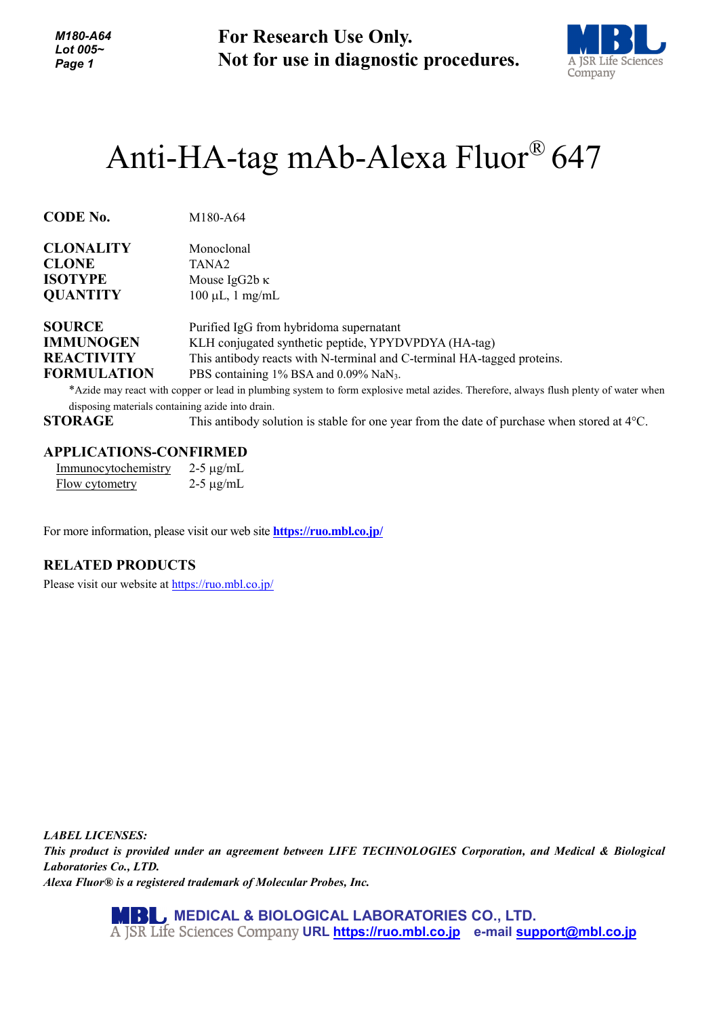*M180-A64 Lot 005~ Page 1*

**For Research Use Only. Not for use in diagnostic procedures.**



# Anti-HA-tag mAb-Alexa Fluor® 647

| <b>CODE No.</b><br>M180-A64 |
|-----------------------------|
|-----------------------------|

| <b>CLONALITY</b>   | Monoclonal                                                              |
|--------------------|-------------------------------------------------------------------------|
| <b>CLONE</b>       | TANA <sub>2</sub>                                                       |
| <b>ISOTYPE</b>     | Mouse IgG2b $\kappa$                                                    |
| <b>QUANTITY</b>    | $100 \mu L$ , 1 mg/mL                                                   |
| <b>SOURCE</b>      | Purified IgG from hybridoma supernatant                                 |
| <b>IMMUNOGEN</b>   | KLH conjugated synthetic peptide, YPYDVPDYA (HA-tag)                    |
| <b>REACTIVITY</b>  | This antibody reacts with N-terminal and C-terminal HA-tagged proteins. |
| <b>FORMULATION</b> | PBS containing 1% BSA and 0.09% NaN <sub>3</sub> .                      |

\*Azide may react with copper or lead in plumbing system to form explosive metal azides. Therefore, always flush plenty of water when disposing materials containing azide into drain.

**STORAGE** This antibody solution is stable for one year from the date of purchase when stored at 4°C.

#### **APPLICATIONS-CONFIRMED**

| Immunocytochemistry | $2-5 \mu g/mL$ |
|---------------------|----------------|
| Flow cytometry      | $2-5 \mu g/mL$ |

For more information, please visit our web site **<https://ruo.mbl.co.jp/>**

### **RELATED PRODUCTS**

Please visit our website at<https://ruo.mbl.co.jp/>

*LABEL LICENSES: This product is provided under an agreement between LIFE TECHNOLOGIES Corporation, and Medical & Biological Laboratories Co., LTD. Alexa Fluor® is a registered trademark of Molecular Probes, Inc.*

> **MEDICAL & BIOLOGICAL LABORATORIES CO., LTD. URL [https://ruo.mbl.co.jp](https://ruo.mbl.co.jp/) e-mail [support@mbl.co.jp](mailto:support@mbl.co.jp)**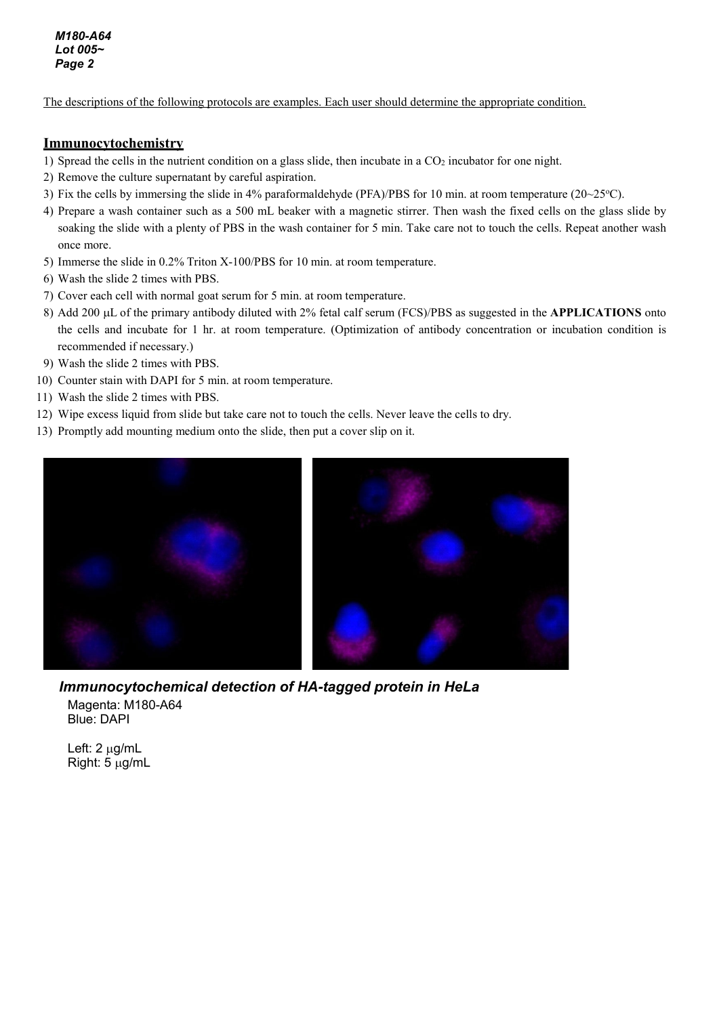*M180-A64 Lot 005~ Page 2*

The descriptions of the following protocols are examples. Each user should determine the appropriate condition.

#### **Immunocytochemistry**

- 1) Spread the cells in the nutrient condition on a glass slide, then incubate in a  $CO<sub>2</sub>$  incubator for one night.
- 2) Remove the culture supernatant by careful aspiration.
- 3) Fix the cells by immersing the slide in 4% paraformaldehyde (PFA)/PBS for 10 min. at room temperature ( $20~25$ °C).
- 4) Prepare a wash container such as a 500 mL beaker with a magnetic stirrer. Then wash the fixed cells on the glass slide by soaking the slide with a plenty of PBS in the wash container for 5 min. Take care not to touch the cells. Repeat another wash once more.
- 5) Immerse the slide in 0.2% Triton X-100/PBS for 10 min. at room temperature.
- 6) Wash the slide 2 times with PBS.
- 7) Cover each cell with normal goat serum for 5 min. at room temperature.
- 8) Add 200 µL of the primary antibody diluted with 2% fetal calf serum (FCS)/PBS as suggested in the **APPLICATIONS** onto the cells and incubate for 1 hr. at room temperature. (Optimization of antibody concentration or incubation condition is recommended if necessary.)
- 9) Wash the slide 2 times with PBS.
- 10) Counter stain with DAPI for 5 min. at room temperature.
- 11) Wash the slide 2 times with PBS.
- 12) Wipe excess liquid from slide but take care not to touch the cells. Never leave the cells to dry.
- 13) Promptly add mounting medium onto the slide, then put a cover slip on it.



*Immunocytochemical detection of HA-tagged protein in HeLa* Magenta: M180-A64 Blue: DAPI

Left: 2 µg/mL Right: 5 µg/mL